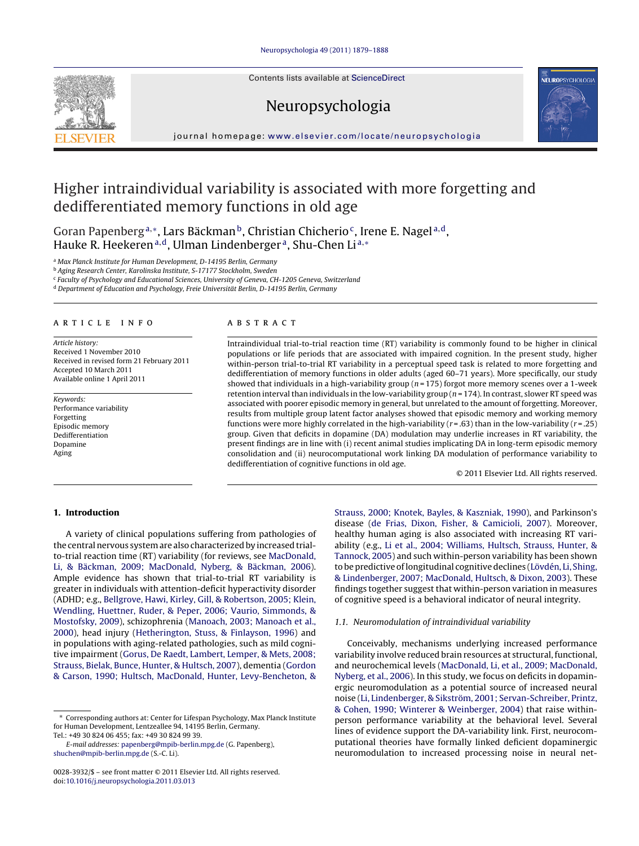Contents lists available at [ScienceDirect](http://www.sciencedirect.com/science/journal/00283932)







# journal homepage: [www.elsevier.com/locate/neuropsychologia](http://www.elsevier.com/locate/neuropsychologia)

# Higher intraindividual variability is associated with more forgetting and dedifferentiated memory functions in old age

<span id="page-0-4"></span><span id="page-0-3"></span><span id="page-0-2"></span><span id="page-0-0"></span>Goran Papenberg<sup>a[,](#page-0-0)∗</sup>, [La](#page-0-1)rs Bäckman<sup>b</sup>, [Ch](#page-0-2)ristian Chicherio<sup>c</sup>, [Ire](#page-0-3)ne E. Nagel<sup>a,d</sup>, Hauke R. Heekeren<sup>a,d</sup>, [U](#page-0-4)lman Lindenberger<sup>a</sup>, Shu-Chen Li<sup>[a,](#page-0-0)[∗](#page-0-1)</sup>

<sup>a</sup> Max Planck Institute for Human Development, D-14195 Berlin, Germany

<sup>b</sup> Aging Research Center, Karolinska Institute, S-17177 Stockholm, Sweden

<sup>c</sup> Faculty of Psychology and Educational Sciences, University of Geneva, CH-1205 Geneva, Switzerland

<sup>d</sup> Department of Education and Psychology, Freie Universität Berlin, D-14195 Berlin, Germany

#### article info

Article history: Received 1 November 2010 Received in revised form 21 February 2011 Accepted 10 March 2011 Available online 1 April 2011

Keywords: Performance variability Forgetting Episodic memory Dedifferentiation Dopamine Aging

# **ABSTRACT**

Intraindividual trial-to-trial reaction time (RT) variability is commonly found to be higher in clinical populations or life periods that are associated with impaired cognition. In the present study, higher within-person trial-to-trial RT variability in a perceptual speed task is related to more forgetting and dedifferentiation of memory functions in older adults (aged 60–71 years). More specifically, our study showed that individuals in a high-variability group ( $n = 175$ ) forgot more memory scenes over a 1-week retention interval than individuals in the low-variability group ( $n = 174$ ). In contrast, slower RT speed was associated with poorer episodic memory in general, but unrelated to the amount of forgetting. Moreover, results from multiple group latent factor analyses showed that episodic memory and working memory functions were more highly correlated in the high-variability ( $r = .63$ ) than in the low-variability ( $r = .25$ ) group. Given that deficits in dopamine (DA) modulation may underlie increases in RT variability, the present findings are in line with (i) recent animal studies implicating DA in long-term episodic memory consolidation and (ii) neurocomputational work linking DA modulation of performance variability to dedifferentiation of cognitive functions in old age.

© 2011 Elsevier Ltd. All rights reserved.

# 1. Introduction

A variety of clinical populations suffering from pathologies of the central nervous system are also characterized by increased trialto-trial reaction time (RT) variability (for reviews, see [MacDonald,](#page-8-0) [Li, & Bäckman, 2009; MacDonald, Nyberg, & Bäckman, 2006\).](#page-8-0) Ample evidence has shown that trial-to-trial RT variability is greater in individuals with attention-deficit hyperactivity disorder (ADHD; e.g., [Bellgrove, Hawi, Kirley, Gill, & Robertson, 2005; Klein,](#page-7-0) [Wendling, Huettner, Ruder, & Peper, 2006; Vaurio, Simmonds, &](#page-7-0) [Mostofsky, 2009\),](#page-7-0) schizophrenia [\(Manoach, 2003; Manoach et al.,](#page-8-1) [2000\),](#page-8-1) head injury ([Hetherington, Stuss, & Finlayson, 1996\)](#page-7-1) and in populations with aging-related pathologies, such as mild cognitive impairment [\(Gorus, De Raedt, Lambert, Lemper, & Mets, 2008;](#page-7-2) [Strauss, Bielak, Bunce, Hunter, & Hultsch, 2007\),](#page-7-2) dementia ([Gordon](#page-7-3) [& Carson, 1990; Hultsch, MacDonald, Hunter, Levy-Bencheton, &](#page-7-3)

[Strauss, 2000; Knotek, Bayles, & Kaszniak, 1990\),](#page-7-3) and Parkinson's disease [\(de Frias, Dixon, Fisher, & Camicioli, 2007\).](#page-7-4) Moreover, healthy human aging is also associated with increasing RT variability (e.g., [Li et al., 2004; Williams, Hultsch, Strauss, Hunter, &](#page-8-2) [Tannock, 2005\) a](#page-8-2)nd such within-person variability has been shown to be predictive of longitudinal cognitive declines ([Lövdén, Li, Shing,](#page-8-3) [& Lindenberger, 2007; MacDonald, Hultsch, & Dixon, 2003\).](#page-8-3) These findings together suggest that within-person variation in measures of cognitive speed is a behavioral indicator of neural integrity.

## 1.1. Neuromodulation of intraindividual variability

Conceivably, mechanisms underlying increased performance variability involve reduced brain resources at structural, functional, and neurochemical levels [\(MacDonald, Li, et al., 2009; MacDonald,](#page-8-0) [Nyberg, et al., 2006\).](#page-8-0) In this study, we focus on deficits in dopaminergic neuromodulation as a potential source of increased neural noise [\(Li, Lindenberger, & Sikström, 2001; Servan-Schreiber, Printz,](#page-8-4) [& Cohen, 1990; Winterer & Weinberger, 2004\)](#page-8-4) that raise withinperson performance variability at the behavioral level. Several lines of evidence support the DA-variability link. First, neurocomputational theories have formally linked deficient dopaminergic neuromodulation to increased processing noise in neural net-

<span id="page-0-1"></span><sup>∗</sup> Corresponding authors at: Center for Lifespan Psychology, Max Planck Institute for Human Development, Lentzeallee 94, 14195 Berlin, Germany. Tel.: +49 30 824 06 455; fax: +49 30 824 99 39.

E-mail addresses: [papenberg@mpib-berlin.mpg.de](mailto:papenberg@mpib-berlin.mpg.de) (G. Papenberg), [shuchen@mpib-berlin.mpg.de](mailto:shuchen@mpib-berlin.mpg.de) (S.-C. Li).

<sup>0028-3932/\$ –</sup> see front matter © 2011 Elsevier Ltd. All rights reserved. doi:[10.1016/j.neuropsychologia.2011.03.013](dx.doi.org/10.1016/j.neuropsychologia.2011.03.013)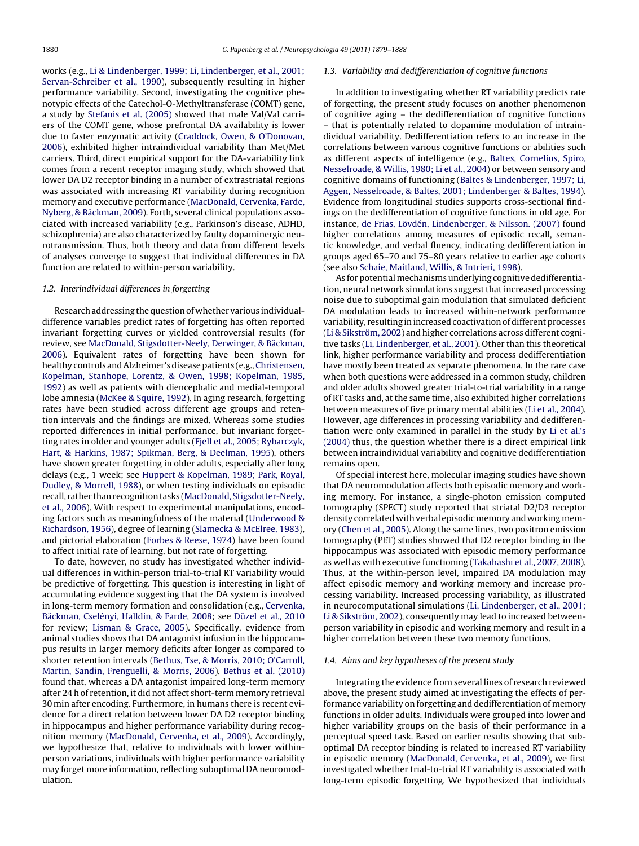works (e.g., [Li & Lindenberger, 1999; Li, Lindenberger, et al., 2001;](#page-8-5) [Servan-Schreiber et al., 1990\),](#page-8-5) subsequently resulting in higher performance variability. Second, investigating the cognitive phenotypic effects of the Catechol-O-Methyltransferase (COMT) gene, a study by [Stefanis et al. \(2005\)](#page-9-0) showed that male Val/Val carriers of the COMT gene, whose prefrontal DA availability is lower due to faster enzymatic activity [\(Craddock, Owen, & O'Donovan,](#page-7-5) [2006\),](#page-7-5) exhibited higher intraindividual variability than Met/Met carriers. Third, direct empirical support for the DA-variability link comes from a recent receptor imaging study, which showed that lower DA D2 receptor binding in a number of extrastriatal regions was associated with increasing RT variability during recognition memory and executive performance [\(MacDonald, Cervenka, Farde,](#page-8-6) [Nyberg, & Bäckman, 2009\).](#page-8-6) Forth, several clinical populations associated with increased variability (e.g., Parkinson's disease, ADHD, schizophrenia) are also characterized by faulty dopaminergic neurotransmission. Thus, both theory and data from different levels of analyses converge to suggest that individual differences in DA function are related to within-person variability.

# 1.2. Interindividual differences in forgetting

Research addressing the question of whether various individualdifference variables predict rates of forgetting has often reported invariant forgetting curves or yielded controversial results (for review, see [MacDonald, Stigsdotter-Neely, Derwinger, & Bäckman,](#page-8-7) [2006\).](#page-8-7) Equivalent rates of forgetting have been shown for healthy controls and Alzheimer's disease patients (e.g., [Christensen,](#page-7-6) [Kopelman, Stanhope, Lorentz, & Owen, 1998; Kopelman, 1985,](#page-7-6) [1992\)](#page-7-6) as well as patients with diencephalic and medial-temporal lobe amnesia [\(McKee & Squire, 1992\).](#page-8-8) In aging research, forgetting rates have been studied across different age groups and retention intervals and the findings are mixed. Whereas some studies reported differences in initial performance, but invariant forgetting rates in older and younger adults [\(Fjell et al., 2005; Rybarczyk,](#page-7-7) [Hart, & Harkins, 1987; Spikman, Berg, & Deelman, 1995\),](#page-7-7) others have shown greater forgetting in older adults, especially after long delays (e.g., 1 week; see [Huppert & Kopelman, 1989; Park, Royal,](#page-7-8) [Dudley, & Morrell, 1988\),](#page-7-8) or when testing individuals on episodic recall, rather than recognition tasks [\(MacDonald, Stigsdotter-Neely,](#page-8-7) [et al., 2006\).](#page-8-7) With respect to experimental manipulations, encoding factors such as meaningfulness of the material [\(Underwood &](#page-9-1) [Richardson, 1956\),](#page-9-1) degree of learning ([Slamecka & McElree, 1983\),](#page-9-2) and pictorial elaboration [\(Forbes & Reese, 1974\)](#page-7-9) have been found to affect initial rate of learning, but not rate of forgetting.

To date, however, no study has investigated whether individual differences in within-person trial-to-trial RT variability would be predictive of forgetting. This question is interesting in light of accumulating evidence suggesting that the DA system is involved in long-term memory formation and consolidation (e.g., [Cervenka,](#page-7-10) [Bäckman, Cselényi, Halldin, & Farde, 2008;](#page-7-10) see [Düzel et al., 2010](#page-7-11) for review; [Lisman & Grace, 2005\).](#page-8-9) Specifically, evidence from animal studies shows that DA antagonist infusion in the hippocampus results in larger memory deficits after longer as compared to shorter retention intervals [\(Bethus, Tse, & Morris, 2010; O'Carroll,](#page-7-12) [Martin, Sandin, Frenguelli, & Morris, 2006\).](#page-7-12) [Bethus et al. \(2010\)](#page-7-12) found that, whereas a DA antagonist impaired long-term memory after 24 h of retention, it did not affect short-term memory retrieval 30 min after encoding. Furthermore, in humans there is recent evidence for a direct relation between lower DA D2 receptor binding in hippocampus and higher performance variability during recognition memory [\(MacDonald, Cervenka, et al., 2009\).](#page-8-6) Accordingly, we hypothesize that, relative to individuals with lower withinperson variations, individuals with higher performance variability may forget more information, reflecting suboptimal DA neuromodulation.

## 1.3. Variability and dedifferentiation of cognitive functions

In addition to investigating whether RT variability predicts rate of forgetting, the present study focuses on another phenomenon of cognitive aging – the dedifferentiation of cognitive functions – that is potentially related to dopamine modulation of intraindividual variability. Dedifferentiation refers to an increase in the correlations between various cognitive functions or abilities such as different aspects of intelligence (e.g., [Baltes, Cornelius, Spiro,](#page-7-13) [Nesselroade, & Willis, 1980; Li et al., 2004\) o](#page-7-13)r between sensory and cognitive domains of functioning [\(Baltes & Lindenberger, 1997; Li,](#page-7-14) [Aggen, Nesselroade, & Baltes, 2001; Lindenberger & Baltes, 1994\).](#page-7-14) Evidence from longitudinal studies supports cross-sectional findings on the dedifferentiation of cognitive functions in old age. For instance, [de Frias,](#page-7-15) [Lövdén, Lindenberger, & Nilsson. \(2007\)](#page-8-3) found higher correlations among measures of episodic recall, semantic knowledge, and verbal fluency, indicating dedifferentiation in groups aged 65–70 and 75–80 years relative to earlier age cohorts (see also [Schaie, Maitland, Willis, & Intrieri, 1998\).](#page-9-3)

As for potential mechanisms underlying cognitive dedifferentiation, neural network simulations suggest that increased processing noise due to suboptimal gain modulation that simulated deficient DA modulation leads to increased within-network performance variability, resulting in increased coactivation of different processes [\(Li & Sikström, 2002\) a](#page-8-10)nd higher correlations across different cognitive tasks ([Li, Lindenberger, et al., 2001\).](#page-8-4) Other than this theoretical link, higher performance variability and process dedifferentiation have mostly been treated as separate phenomena. In the rare case when both questions were addressed in a common study, children and older adults showed greater trial-to-trial variability in a range of RT tasks and, at the same time, also exhibited higher correlations between measures of five primary mental abilities ([Li et al., 2004\).](#page-8-2) However, age differences in processing variability and dedifferentiation were only examined in parallel in the study by [Li et al.'s](#page-8-2) [\(2004\)](#page-8-2) thus, the question whether there is a direct empirical link between intraindividual variability and cognitive dedifferentiation remains open.

Of special interest here, molecular imaging studies have shown that DA neuromodulation affects both episodic memory and working memory. For instance, a single-photon emission computed tomography (SPECT) study reported that striatal D2/D3 receptor density correlated with verbal episodic memory and working memory ([Chen et al., 2005\).](#page-7-16) Along the same lines, two positron emission tomography (PET) studies showed that D2 receptor binding in the hippocampus was associated with episodic memory performance as well as with executive functioning ([Takahashi et al., 2007, 2008\).](#page-9-4) Thus, at the within-person level, impaired DA modulation may affect episodic memory and working memory and increase processing variability. Increased processing variability, as illustrated in neurocomputational simulations ([Li, Lindenberger, et al., 2001;](#page-8-4) [Li & Sikström, 2002\),](#page-8-4) consequently may lead to increased betweenperson variability in episodic and working memory and result in a higher correlation between these two memory functions.

## 1.4. Aims and key hypotheses of the present study

Integrating the evidence from several lines of research reviewed above, the present study aimed at investigating the effects of performance variability on forgetting and dedifferentiation of memory functions in older adults. Individuals were grouped into lower and higher variability groups on the basis of their performance in a perceptual speed task. Based on earlier results showing that suboptimal DA receptor binding is related to increased RT variability in episodic memory [\(MacDonald, Cervenka, et al., 2009\),](#page-8-6) we first investigated whether trial-to-trial RT variability is associated with long-term episodic forgetting. We hypothesized that individuals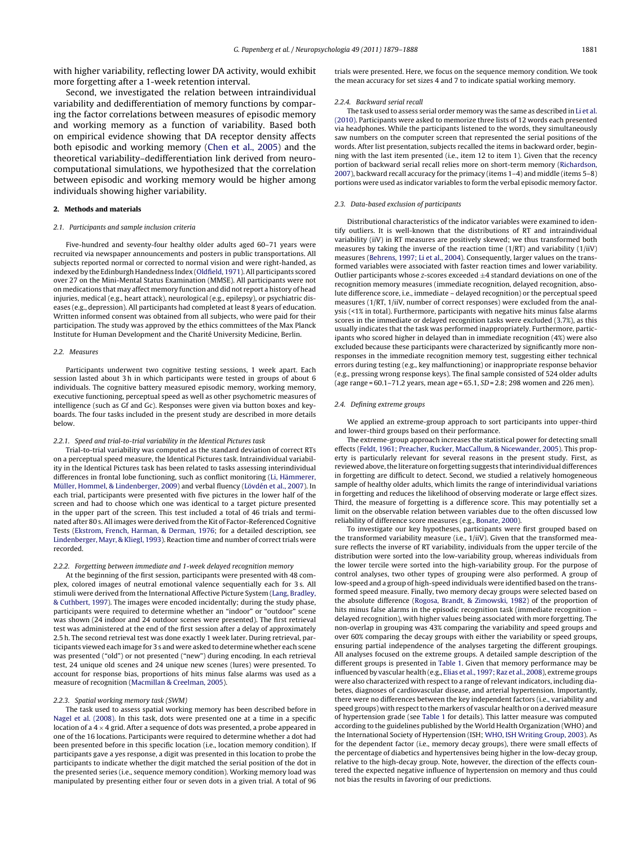with higher variability, reflecting lower DA activity, would exhibit more forgetting after a 1-week retention interval.

Second, we investigated the relation between intraindividual variability and dedifferentiation of memory functions by comparing the factor correlations between measures of episodic memory and working memory as a function of variability. Based both on empirical evidence showing that DA receptor density affects both episodic and working memory ([Chen et al., 2005\)](#page-7-16) and the theoretical variability–dedifferentiation link derived from neurocomputational simulations, we hypothesized that the correlation between episodic and working memory would be higher among individuals showing higher variability.

#### 2. Methods and materials

#### 2.1. Participants and sample inclusion criteria

Five-hundred and seventy-four healthy older adults aged 60–71 years were recruited via newspaper announcements and posters in public transportations. All subjects reported normal or corrected to normal vision and were right-handed, as indexed by the Edinburgh Handedness Index ([Oldfield, 1971\).](#page-8-11) All participants scored over 27 on the Mini-Mental Status Examination (MMSE). All participants were not on medications that may affect memory function and did not report a history of head injuries, medical (e.g., heart attack), neurological (e.g., epilepsy), or psychiatric diseases (e.g., depression). All participants had completed at least 8 years of education. Written informed consent was obtained from all subjects, who were paid for their participation. The study was approved by the ethics committees of the Max Planck Institute for Human Development and the Charité University Medicine, Berlin.

#### 2.2. Measures

Participants underwent two cognitive testing sessions, 1 week apart. Each session lasted about 3 h in which participants were tested in groups of about 6 individuals. The cognitive battery measured episodic memory, working memory, executive functioning, perceptual speed as well as other psychometric measures of intelligence (such as Gf and Gc). Responses were given via button boxes and keyboards. The four tasks included in the present study are described in more details below.

#### 2.2.1. Speed and trial-to-trial variability in the Identical Pictures task

Trial-to-trial variability was computed as the standard deviation of correct RTs on a perceptual speed measure, the Identical Pictures task. Intraindividual variability in the Identical Pictures task has been related to tasks assessing interindividual differences in frontal lobe functioning, such as conflict monitoring ([Li, Hämmerer,](#page-8-12) [Müller, Hommel, & Lindenberger, 2009\) a](#page-8-12)nd verbal fluency ([Lövdén et al., 2007\).](#page-8-3) In each trial, participants were presented with five pictures in the lower half of the screen and had to choose which one was identical to a target picture presented in the upper part of the screen. This test included a total of 46 trials and terminated after 80 s. All images were derived from the Kit of Factor-Referenced Cognitive Tests [\(Ekstrom, French, Harman, & Derman, 1976; f](#page-7-17)or a detailed description, see [Lindenberger, Mayr, & Kliegl, 1993\).](#page-8-13) Reaction time and number of correct trials were recorded.

#### 2.2.2. Forgetting between immediate and 1-week delayed recognition memory

At the beginning of the first session, participants were presented with 48 complex, colored images of neutral emotional valence sequentially each for 3 s. All stimuli were derived from the International Affective Picture System [\(Lang, Bradley,](#page-8-14) [& Cuthbert, 1997\).](#page-8-14) The images were encoded incidentally; during the study phase, participants were required to determine whether an "indoor" or "outdoor" scene was shown (24 indoor and 24 outdoor scenes were presented). The first retrieval test was administered at the end of the first session after a delay of approximately 2.5 h. The second retrieval test was done exactly 1 week later. During retrieval, participants viewed each image for 3 s and were asked to determine whether each scene was presented ("old") or not presented ("new") during encoding. In each retrieval test, 24 unique old scenes and 24 unique new scenes (lures) were presented. To account for response bias, proportions of hits minus false alarms was used as a measure of recognition [\(Macmillan & Creelman, 2005\).](#page-8-15)

#### 2.2.3. Spatial working memory task (SWM)

The task used to assess spatial working memory has been described before in [Nagel et al. \(2008\). I](#page-8-16)n this task, dots were presented one at a time in a specific location of a  $4 \times 4$  grid. After a sequence of dots was presented, a probe appeared in one of the 16 locations. Participants were required to determine whether a dot had been presented before in this specific location (i.e., location memory condition). If participants gave a yes response, a digit was presented in this location to probe the participants to indicate whether the digit matched the serial position of the dot in the presented series (i.e., sequence memory condition). Working memory load was manipulated by presenting either four or seven dots in a given trial. A total of 96

trials were presented. Here, we focus on the sequence memory condition. We took the mean accuracy for set sizes 4 and 7 to indicate spatial working memory.

#### 2.2.4. Backward serial recall

The task used to assess serial order memory was the same as described in [Li et al.](#page-8-17) [\(2010\). P](#page-8-17)articipants were asked to memorize three lists of 12 words each presented via headphones. While the participants listened to the words, they simultaneously saw numbers on the computer screen that represented the serial positions of the words. After list presentation, subjects recalled the items in backward order, beginning with the last item presented (i.e., item 12 to item 1). Given that the recency portion of backward serial recall relies more on short-term memory [\(Richardson,](#page-8-6) [2007\), b](#page-8-6)ackward recall accuracy for the primacy (items 1–4) and middle (items 5–8) portions were used as indicator variables to form the verbal episodic memory factor.

#### 2.3. Data-based exclusion of participants

Distributional characteristics of the indicator variables were examined to identify outliers. It is well-known that the distributions of RT and intraindividual variability (iiV) in RT measures are positively skewed; we thus transformed both measures by taking the inverse of the reaction time (1/RT) and variability (1/iiV) measures ([Behrens, 1997; Li et al., 2004\).](#page-7-18) Consequently, larger values on the transformed variables were associated with faster reaction times and lower variability. Outlier participants whose z-scores exceeded  $\pm 4$  standard deviations on one of the recognition memory measures (immediate recognition, delayed recognition, absolute difference score, i.e., immediate – delayed recognition) or the perceptual speed measures (1/RT, 1/iiV, number of correct responses) were excluded from the analysis (<1% in total). Furthermore, participants with negative hits minus false alarms scores in the immediate or delayed recognition tasks were excluded (3.7%), as this usually indicates that the task was performed inappropriately. Furthermore, participants who scored higher in delayed than in immediate recognition (4%) were also excluded because these participants were characterized by significantly more nonresponses in the immediate recognition memory test, suggesting either technical errors during testing (e.g., key malfunctioning) or inappropriate response behavior (e.g., pressing wrong response keys). The final sample consisted of 524 older adults (age range =  $60.1 - 71.2$  years, mean age =  $65.1$ ,  $SD = 2.8$ ; 298 women and 226 men).

#### 2.4. Defining extreme groups

We applied an extreme-group approach to sort participants into upper-third and lower-third groups based on their performance.

The extreme-group approach increases the statistical power for detecting small effects [\(Feldt, 1961; Preacher, Rucker, MacCallum, & Nicewander, 2005\).](#page-7-19) This property is particularly relevant for several reasons in the present study. First, as reviewed above, the literature on forgetting suggests that interindividual differences in forgetting are difficult to detect. Second, we studied a relatively homogeneous sample of healthy older adults, which limits the range of interindividual variations in forgetting and reduces the likelihood of observing moderate or large effect sizes. Third, the measure of forgetting is a difference score. This may potentially set a limit on the observable relation between variables due to the often discussed low reliability of difference score measures (e.g., [Bonate, 2000\).](#page-7-20)

To investigate our key hypotheses, participants were first grouped based on the transformed variability measure (i.e., 1/iiV). Given that the transformed measure reflects the inverse of RT variability, individuals from the upper tercile of the distribution were sorted into the low-variability group, whereas individuals from the lower tercile were sorted into the high-variability group. For the purpose of control analyses, two other types of grouping were also performed. A group of low-speed and a group of high-speed individuals were identified based on the transformed speed measure. Finally, two memory decay groups were selected based on the absolute difference ([Rogosa, Brandt, & Zimowski, 1982\)](#page-8-18) of the proportion of hits minus false alarms in the episodic recognition task (immediate recognition – delayed recognition), with higher values being associated with more forgetting. The non-overlap in grouping was 43% comparing the variability and speed groups and over 60% comparing the decay groups with either the variability or speed groups, ensuring partial independence of the analyses targeting the different groupings. All analyses focused on the extreme groups. A detailed sample description of the different groups is presented in [Table 1. G](#page-3-0)iven that memory performance may be influenced by vascular health (e.g., [Elias et al., 1997; Raz et al., 2008\),](#page-7-21) extreme groups were also characterized with respect to a range of relevant indicators, including diabetes, diagnoses of cardiovascular disease, and arterial hypertension. Importantly, there were no differences between the key independent factors (i.e., variability and speed groups) with respect to the markers of vascular health or on a derived measure of hypertension grade (see [Table 1](#page-3-0) for details). This latter measure was computed according to the guidelines published by the World Health Organization (WHO) and the International Society of Hypertension (ISH; [WHO, ISH Writing Group, 2003\).](#page-9-5) As for the dependent factor (i.e., memory decay groups), there were small effects of the percentage of diabetics and hypertensives being higher in the low-decay group, relative to the high-decay group. Note, however, the direction of the effects countered the expected negative influence of hypertension on memory and thus could not bias the results in favoring of our predictions.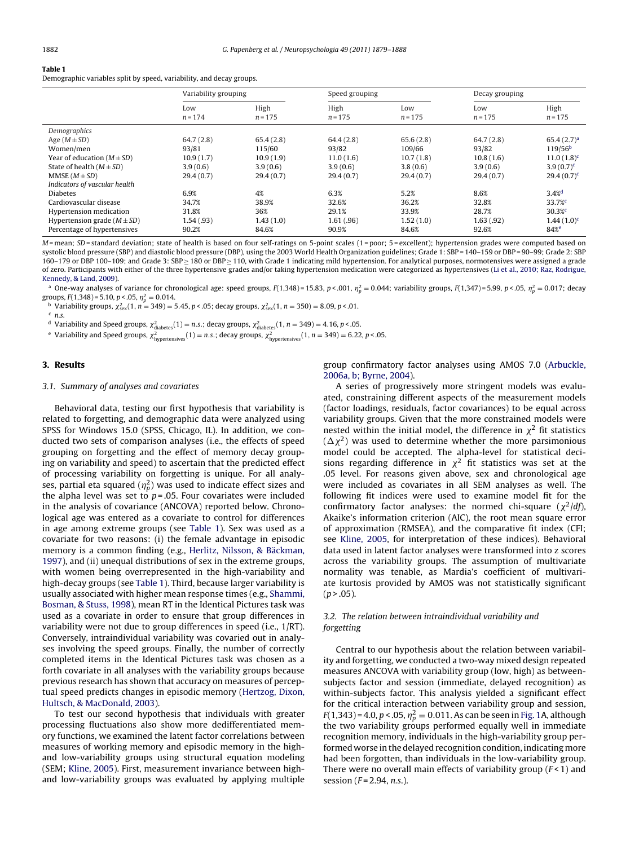# <span id="page-3-0"></span>Table 1

Demographic variables split by speed, variability, and decay groups.

|                                 | Variability grouping |                   | Speed grouping    |                  | Decay grouping   |                     |  |
|---------------------------------|----------------------|-------------------|-------------------|------------------|------------------|---------------------|--|
|                                 | Low<br>$n = 174$     | High<br>$n = 175$ | High<br>$n = 175$ | Low<br>$n = 175$ | Low<br>$n = 175$ | High<br>$n = 175$   |  |
| Demographics                    |                      |                   |                   |                  |                  |                     |  |
| Age $(M \pm SD)$                | 64.7(2.8)            | 65.4(2.8)         | 64.4(2.8)         | 65.6(2.8)        | 64.7(2.8)        | $65.4(2.7)^a$       |  |
| Women/men                       | 93/81                | 115/60            | 93/82             | 109/66           | 93/82            | 119/56 <sup>b</sup> |  |
| Year of education $(M \pm SD)$  | 10.9(1.7)            | 10.9(1.9)         | 11.0(1.6)         | 10.7(1.8)        | 10.8(1.6)        | $11.0(1.8)^c$       |  |
| State of health $(M \pm SD)$    | 3.9(0.6)             | 3.9(0.6)          | 3.9(0.6)          | 3.8(0.6)         | 3.9(0.6)         | $3.9(0.7)^c$        |  |
| MMSE $(M \pm SD)$               | 29.4(0.7)            | 29.4(0.7)         | 29.4(0.7)         | 29.4(0.7)        | 29.4(0.7)        | $29.4(0.7)^c$       |  |
| Indicators of vascular health   |                      |                   |                   |                  |                  |                     |  |
| <b>Diabetes</b>                 | 6.9%                 | 4%                | 6.3%              | 5.2%             | 8.6%             | $3.4%$ <sup>d</sup> |  |
| Cardiovascular disease          | 34.7%                | 38.9%             | 32.6%             | 36.2%            | 32.8%            | 33.7%               |  |
| Hypertension medication         | 31.8%                | 36%               | 29.1%             | 33.9%            | 28.7%            | 30.3%               |  |
| Hypertension grade $(M \pm SD)$ | 1.54(.93)            | 1.43(1.0)         | 1.61(.96)         | 1.52(1.0)        | 1.63(.92)        | $1.44(1.0)^c$       |  |
| Percentage of hypertensives     | 90.2%                | 84.6%             | 90.9%             | 84.6%            | 92.6%            | 84% <sup>e</sup>    |  |

<span id="page-3-3"></span><span id="page-3-2"></span><span id="page-3-1"></span>M = mean; SD = standard deviation; state of health is based on four self-ratings on 5-point scales (1 = poor; 5 = excellent); hypertension grades were computed based on systolic blood pressure (SBP) and diastolic blood pressure (DBP), using the 2003 World Health Organization guidelines; Grade 1: SBP = 140-159 or DBP = 90-99; Grade 2: SBP 160–179 or DBP 100–109; and Grade 3: SBP ≥ 180 or DBP ≥ 110, with Grade 1 indicating mild hypertension. For analytical purposes, normotensives were assigned a grade of zero. Participants with either of the three hypertensive grades and/or taking hypertension medication were categorized as hypertensives [\(Li et al., 2010; Raz, Rodrigue,](#page-8-17) [Kennedy, & Land, 2009\).](#page-8-17)

<span id="page-3-5"></span><span id="page-3-4"></span> $^{\rm a}$  One-way analyses of variance for chronological age: speed groups, F(1,348)=15.83, p<.001,  $\eta_p^2$  = 0.044; variability groups, F(1,347)=5.99, p<.05,  $\eta_p^2$  = 0.017; decay groups,  $F(1,348) = 5.10$ ,  $p < .05$ ,  $\eta_p^2 = 0.014$ .

oups, F(1,348)=5.10, p < .05,  $\eta_p^2 = 0.014$ .<br><sup>b</sup> Variability groups,  $\chi_{\rm sex}^2(1, n = 349) = 5.45$ , p < .05; decay groups,  $\chi_{\rm sex}^2(1, n = 350) = 8.09$ , p < .01.<br><sup>c</sup> n.s.

<sup>d</sup> Variability and Speed groups,  $\chi^2_{\text{diabletes}}(1) = n.s.$ ; decay groups,  $\chi^2_{\text{diabletes}}(1, n = 349) = 4.16$ , p < .05.

 $^{\rm e}$  Variability and Speed groups,  $\chi^2_{\rm hypertensives}(1)=n.s.;$  decay groups,  $\chi^2_{\rm hypertensives}(1,n=349)=6.22,$  p < .05.

# 3. Results

# 3.1. Summary of analyses and covariates

Behavioral data, testing our first hypothesis that variability is related to forgetting, and demographic data were analyzed using SPSS for Windows 15.0 (SPSS, Chicago, IL). In addition, we conducted two sets of comparison analyses (i.e., the effects of speed grouping on forgetting and the effect of memory decay grouping on variability and speed) to ascertain that the predicted effect of processing variability on forgetting is unique. For all analyses, partial eta squared ( $\eta_p^2$ ) was used to indicate effect sizes and the alpha level was set to  $p = .05$ . Four covariates were included in the analysis of covariance (ANCOVA) reported below. Chronological age was entered as a covariate to control for differences in age among extreme groups (see [Table 1\).](#page-3-0) Sex was used as a covariate for two reasons: (i) the female advantage in episodic memory is a common finding (e.g., [Herlitz, Nilsson, & Bäckman,](#page-7-22) [1997\),](#page-7-22) and (ii) unequal distributions of sex in the extreme groups, with women being overrepresented in the high-variability and high-decay groups (see [Table 1\).](#page-3-0) Third, because larger variability is usually associated with higher mean response times (e.g., [Shammi,](#page-9-6) [Bosman, & Stuss, 1998\),](#page-9-6) mean RT in the Identical Pictures task was used as a covariate in order to ensure that group differences in variability were not due to group differences in speed (i.e., 1/RT). Conversely, intraindividual variability was covaried out in analyses involving the speed groups. Finally, the number of correctly completed items in the Identical Pictures task was chosen as a forth covariate in all analyses with the variability groups because previous research has shown that accuracy on measures of perceptual speed predicts changes in episodic memory ([Hertzog, Dixon,](#page-7-23) [Hultsch, & MacDonald, 2003\).](#page-7-23)

To test our second hypothesis that individuals with greater processing fluctuations also show more dedifferentiated memory functions, we examined the latent factor correlations between measures of working memory and episodic memory in the highand low-variability groups using structural equation modeling (SEM; [Kline, 2005\).](#page-8-19) First, measurement invariance between highand low-variability groups was evaluated by applying multiple

group confirmatory factor analyses using AMOS 7.0 ([Arbuckle,](#page-7-24) [2006a, b; Byrne, 2004\).](#page-7-24)

A series of progressively more stringent models was evaluated, constraining different aspects of the measurement models (factor loadings, residuals, factor covariances) to be equal across variability groups. Given that the more constrained models were nested within the initial model, the difference in  $\chi^2$  fit statistics  $(\Delta \chi^2)$  was used to determine whether the more parsimonious model could be accepted. The alpha-level for statistical decisions regarding difference in  $\chi^2$  fit statistics was set at the .05 level. For reasons given above, sex and chronological age were included as covariates in all SEM analyses as well. The following fit indices were used to examine model fit for the confirmatory factor analyses: the normed chi-square  $(\chi^2/df)$ , Akaike's information criterion (AIC), the root mean square error of approximation (RMSEA), and the comparative fit index (CFI; see [Kline, 2005,](#page-8-19) for interpretation of these indices). Behavioral data used in latent factor analyses were transformed into z scores across the variability groups. The assumption of multivariate normality was tenable, as Mardia's coefficient of multivariate kurtosis provided by AMOS was not statistically significant  $(p > .05)$ .

# 3.2. The relation between intraindividual variability and forgetting

Central to our hypothesis about the relation between variability and forgetting, we conducted a two-way mixed design repeated measures ANCOVA with variability group (low, high) as betweensubjects factor and session (immediate, delayed recognition) as within-subjects factor. This analysis yielded a significant effect for the critical interaction between variability group and session,  $F(1,343)$  = 4.0, p < .05,  $\eta_p^2 = 0.011$ . As can be seen in [Fig. 1A,](#page-4-0) although the two variability groups performed equally well in immediate recognition memory, individuals in the high-variability group performed worse in the delayed recognition condition, indicating more had been forgotten, than individuals in the low-variability group. There were no overall main effects of variability group  $(F<1)$  and session ( $F = 2.94$ , *n.s.*).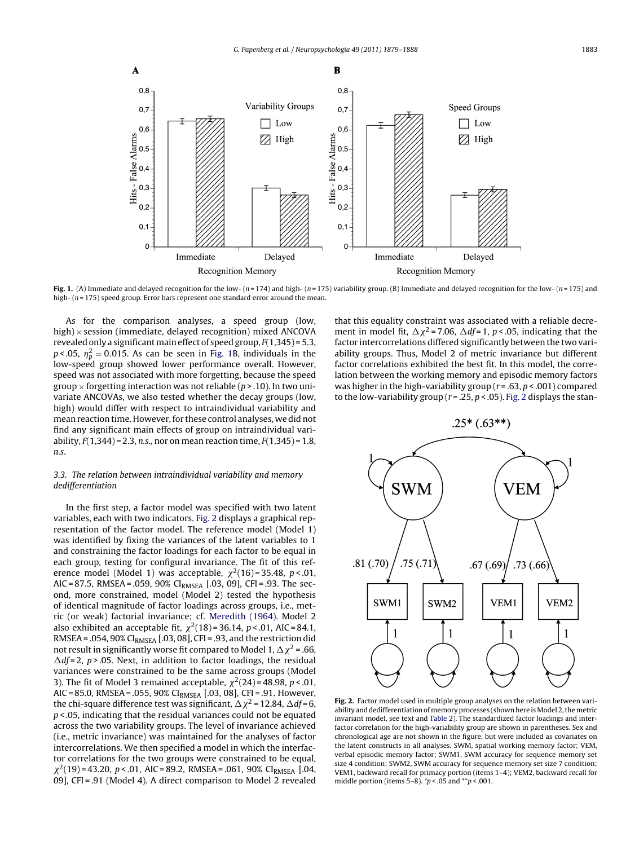<span id="page-4-0"></span>

Fig. 1. (A) Immediate and delayed recognition for the low-  $(n=174)$  and high-  $(n=175)$  variability group. (B) Immediate and delayed recognition for the low-  $(n=175)$  and high-  $(n = 175)$  speed group. Error bars represent one standard error around the mean.

<span id="page-4-1"></span>As for the comparison analyses, a speed group (low, high)  $\times$  session (immediate, delayed recognition) mixed ANCOVA revealed only a significant main effect of speed group,  $F(1,345) = 5.3$ ,  $p<$ .05,  $\eta_p^2$  = 0.015. As can be seen in [Fig. 1B](#page-4-0), individuals in the low-speed group showed lower performance overall. However, speed was not associated with more forgetting, because the speed group  $\times$  forgetting interaction was not reliable (p > .10). In two univariate ANCOVAs, we also tested whether the decay groups (low, high) would differ with respect to intraindividual variability and mean reaction time. However, for these control analyses, we did not find any significant main effects of group on intraindividual variability,  $F(1,344) = 2.3$ , n.s., nor on mean reaction time,  $F(1,345) = 1.8$ , n.s.

# 3.3. The relation between intraindividual variability and memory dedifferentiation

In the first step, a factor model was specified with two latent variables, each with two indicators. [Fig. 2](#page-4-1) displays a graphical representation of the factor model. The reference model (Model 1) was identified by fixing the variances of the latent variables to 1 and constraining the factor loadings for each factor to be equal in each group, testing for configural invariance. The fit of this reference model (Model 1) was acceptable,  $\chi^2(16)$  = 35.48, p < 01, AIC = 87.5, RMSEA = .059, 90% CIRMSEA [.03, 09], CFI = .93. The second, more constrained, model (Model 2) tested the hypothesis of identical magnitude of factor loadings across groups, i.e., metric (or weak) factorial invariance; cf. [Meredith \(1964\).](#page-8-20) Model 2 also exhibited an acceptable fit,  $\chi^2(18) = 36.14$ ,  $p < .01$ , AIC = 84.1, RMSEA = .054, 90% CI<sub>RMSEA</sub> [.03, 08], CFI = .93, and the restriction did not result in significantly worse fit compared to Model 1,  $\Delta \chi^2$  = .66,  $\Delta df = 2$ , p > .05. Next, in addition to factor loadings, the residual variances were constrained to be the same across groups (Model 3). The fit of Model 3 remained acceptable,  $\chi^2(24)$  = 48.98, p < .01, AIC = 85.0, RMSEA = .055, 90% CIRMSEA [.03, 08], CFI = .91. However, the chi-square difference test was significant,  $\Delta \chi^2$  = 12.84,  $\Delta df = 6$ ,  $p$  < 0.05, indicating that the residual variances could not be equated across the two variability groups. The level of invariance achieved (i.e., metric invariance) was maintained for the analyses of factor intercorrelations. We then specified a model in which the interfactor correlations for the two groups were constrained to be equal,  $\chi^2(19)$  = 43.20, p < .01, AIC = 89.2, RMSEA = .061, 90% CI<sub>RMSEA</sub> [.04, 09], CFI = .91 (Model 4). A direct comparison to Model 2 revealed

that this equality constraint was associated with a reliable decrement in model fit,  $\Delta \chi^2$  = 7.06,  $\Delta df$  = 1, p < .05, indicating that the factor intercorrelations differed significantly between the two variability groups. Thus, Model 2 of metric invariance but different factor correlations exhibited the best fit. In this model, the correlation between the working memory and episodic memory factors was higher in the high-variability group ( $r = .63$ ,  $p < .001$ ) compared to the low-variability group ( $r = 0.25$ ,  $p < 0.05$ ). [Fig. 2](#page-4-1) displays the stan-



Fig. 2. Factor model used in multiple group analyses on the relation between variability and dedifferentiation of memory processes (shown here is Model 2, the metric invariant model, see text and [Table 2\).](#page-5-0) The standardized factor loadings and interfactor correlation for the high-variability group are shown in parentheses. Sex and chronological age are not shown in the figure, but were included as covariates on the latent constructs in all analyses. SWM, spatial working memory factor; VEM, verbal episodic memory factor; SWM1, SWM accuracy for sequence memory set size 4 condition; SWM2, SWM accuracy for sequence memory set size 7 condition; VEM1, backward recall for primacy portion (items 1–4); VEM2, backward recall for middle portion (items 5–8).  $\gamma p$  < .05 and  $\gamma p$  < .001.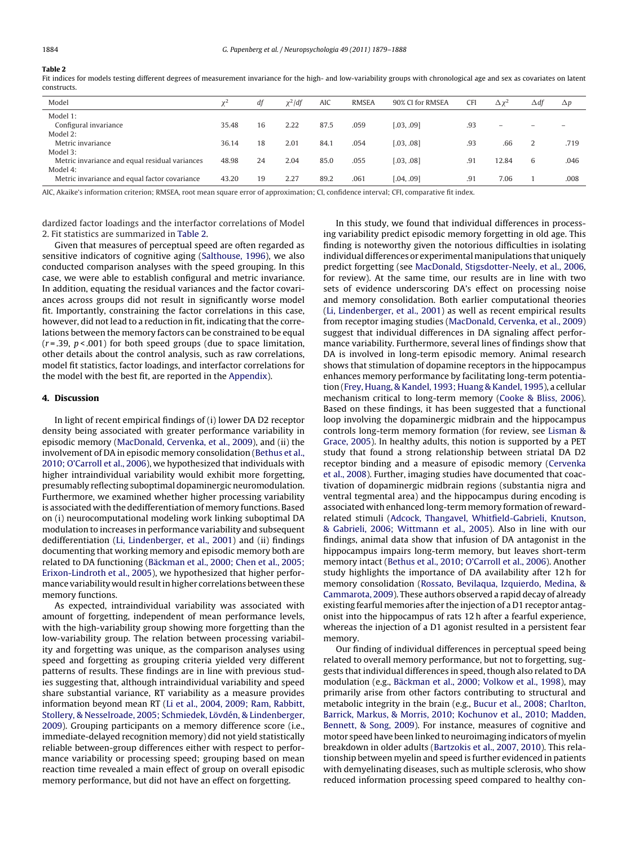# <span id="page-5-0"></span>Table 2

Fit indices for models testing different degrees of measurement invariance for the high- and low-variability groups with chronological age and sex as covariates on latent constructs.

| Model                                          | ν۷    | df | $\chi^2$ /df | <b>AIC</b> | <b>RMSEA</b> | 90% CI for RMSEA | <b>CFI</b> | $\Delta x^2$             | $\Delta$ df              | $\Delta p$ |
|------------------------------------------------|-------|----|--------------|------------|--------------|------------------|------------|--------------------------|--------------------------|------------|
| Model 1:                                       |       |    |              |            |              |                  |            |                          |                          |            |
| Configural invariance                          | 35.48 | 16 | 2.22         | 87.5       | .059         | [.03, .09]       | .93        | $\overline{\phantom{0}}$ | $\overline{\phantom{0}}$ |            |
| Model 2:                                       |       |    |              |            |              |                  |            |                          |                          |            |
| Metric invariance                              | 36.14 | 18 | 2.01         | 84.1       | .054         | [.03, .08]       | .93        | .66                      |                          | .719       |
| Model 3:                                       |       |    |              |            |              |                  |            |                          |                          |            |
| Metric invariance and equal residual variances | 48.98 | 24 | 2.04         | 85.0       | .055         | [.03, .08]       | .91        | 12.84                    | 6                        | .046       |
| Model 4:                                       |       |    |              |            |              |                  |            |                          |                          |            |
| Metric invariance and equal factor covariance  | 43.20 | 19 | 2.27         | 89.2       | .061         | [.04, .09]       | .91        | 7.06                     |                          | .008       |

AIC, Akaike's information criterion; RMSEA, root mean square error of approximation; CI, confidence interval; CFI, comparative fit index.

dardized factor loadings and the interfactor correlations of Model 2. Fit statistics are summarized in [Table 2.](#page-5-0)

Given that measures of perceptual speed are often regarded as sensitive indicators of cognitive aging ([Salthouse, 1996\),](#page-8-21) we also conducted comparison analyses with the speed grouping. In this case, we were able to establish configural and metric invariance. In addition, equating the residual variances and the factor covariances across groups did not result in significantly worse model fit. Importantly, constraining the factor correlations in this case, however, did not lead to a reduction in fit, indicating that the correlations between the memory factors can be constrained to be equal  $(r = .39, p < .001)$  for both speed groups (due to space limitation, other details about the control analysis, such as raw correlations, model fit statistics, factor loadings, and interfactor correlations for the model with the best fit, are reported in the [Appendix\).](#page-6-0)

## 4. Discussion

In light of recent empirical findings of (i) lower DA D2 receptor density being associated with greater performance variability in episodic memory ([MacDonald, Cervenka, et al., 2009\),](#page-8-6) and (ii) the involvement of DA in episodic memory consolidation [\(Bethus et al.,](#page-7-12) [2010; O'Carroll et al., 2006\),](#page-7-12) we hypothesized that individuals with higher intraindividual variability would exhibit more forgetting, presumably reflecting suboptimal dopaminergic neuromodulation. Furthermore, we examined whether higher processing variability is associated with the dedifferentiation of memory functions. Based on (i) neurocomputational modeling work linking suboptimal DA modulation to increases in performance variability and subsequent dedifferentiation ([Li, Lindenberger, et al., 2001\)](#page-8-4) and (ii) findings documenting that working memory and episodic memory both are related to DA functioning ([Bäckman et al., 2000; Chen et al., 2005;](#page-7-25) [Erixon-Lindroth et al., 2005\),](#page-7-25) we hypothesized that higher performance variability would result in higher correlations between these memory functions.

As expected, intraindividual variability was associated with amount of forgetting, independent of mean performance levels, with the high-variability group showing more forgetting than the low-variability group. The relation between processing variability and forgetting was unique, as the comparison analyses using speed and forgetting as grouping criteria yielded very different patterns of results. These findings are in line with previous studies suggesting that, although intraindividual variability and speed share substantial variance, RT variability as a measure provides information beyond mean RT ([Li et al., 2004, 2009; Ram, Rabbitt,](#page-8-2) [Stollery, & Nesselroade, 2005; Schmiedek, Lövdén, & Lindenberger,](#page-8-2) [2009\).](#page-8-2) Grouping participants on a memory difference score (i.e., immediate-delayed recognition memory) did not yield statistically reliable between-group differences either with respect to performance variability or processing speed; grouping based on mean reaction time revealed a main effect of group on overall episodic memory performance, but did not have an effect on forgetting.

In this study, we found that individual differences in processing variability predict episodic memory forgetting in old age. This finding is noteworthy given the notorious difficulties in isolating individual differences or experimental manipulations that uniquely predict forgetting (see [MacDonald, Stigsdotter-Neely, et al., 2006,](#page-8-7) for review). At the same time, our results are in line with two sets of evidence underscoring DA's effect on processing noise and memory consolidation. Both earlier computational theories [\(Li, Lindenberger, et al., 2001\)](#page-8-4) as well as recent empirical results from receptor imaging studies ([MacDonald, Cervenka, et al., 2009\)](#page-8-6) suggest that individual differences in DA signaling affect performance variability. Furthermore, several lines of findings show that DA is involved in long-term episodic memory. Animal research shows that stimulation of dopamine receptors in the hippocampus enhances memory performance by facilitating long-term potentiation [\(Frey, Huang, & Kandel, 1993; Huang & Kandel, 1995\),](#page-7-26) a cellular mechanism critical to long-term memory [\(Cooke & Bliss, 2006\).](#page-7-27) Based on these findings, it has been suggested that a functional loop involving the dopaminergic midbrain and the hippocampus controls long-term memory formation (for review, see [Lisman &](#page-8-9) [Grace, 2005\).](#page-8-9) In healthy adults, this notion is supported by a PET study that found a strong relationship between striatal DA D2 receptor binding and a measure of episodic memory [\(Cervenka](#page-7-10) [et al., 2008\).](#page-7-10) Further, imaging studies have documented that coactivation of dopaminergic midbrain regions (substantia nigra and ventral tegmental area) and the hippocampus during encoding is associated with enhanced long-term memory formation of rewardrelated stimuli ([Adcock, Thangavel, Whitfield-Gabrieli, Knutson,](#page-7-28) [& Gabrieli, 2006; Wittmann et al., 2005\).](#page-7-28) Also in line with our findings, animal data show that infusion of DA antagonist in the hippocampus impairs long-term memory, but leaves short-term memory intact ([Bethus et al., 2010; O'Carroll et al., 2006\).](#page-7-12) Another study highlights the importance of DA availability after 12 h for memory consolidation ([Rossato, Bevilaqua, Izquierdo, Medina, &](#page-8-22) [Cammarota, 2009\).](#page-8-22) These authors observed a rapid decay of already existing fearful memories after the injection of a D1 receptor antagonist into the hippocampus of rats 12 h after a fearful experience, whereas the injection of a D1 agonist resulted in a persistent fear memory.

Our finding of individual differences in perceptual speed being related to overall memory performance, but not to forgetting, suggests that individual differences in speed, though also related to DA modulation (e.g., [Bäckman et al., 2000; Volkow et al., 1998\),](#page-7-25) may primarily arise from other factors contributing to structural and metabolic integrity in the brain (e.g., [Bucur et al., 2008; Charlton,](#page-7-29) [Barrick, Markus, & Morris, 2010; Kochunov et al., 2010; Madden,](#page-7-29) [Bennett, & Song, 2009\).](#page-7-29) For instance, measures of cognitive and motor speed have been linked to neuroimaging indicators of myelin breakdown in older adults [\(Bartzokis et al., 2007, 2010\).](#page-7-30) This relationship between myelin and speed is further evidenced in patients with demyelinating diseases, such as multiple sclerosis, who show reduced information processing speed compared to healthy con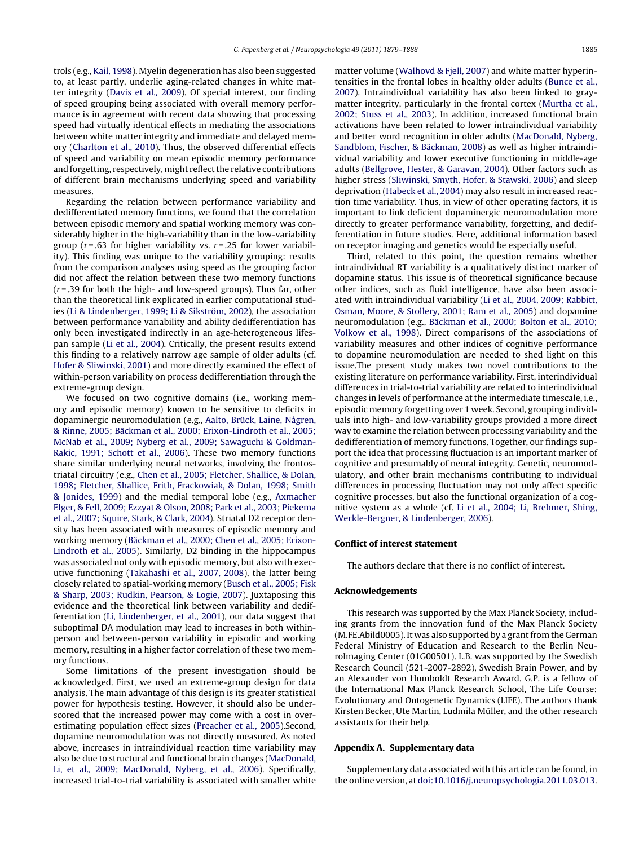trols (e.g., [Kail, 1998\).](#page-8-23) Myelin degeneration has also been suggested to, at least partly, underlie aging-related changes in white matter integrity ([Davis et al., 2009\).](#page-7-31) Of special interest, our finding of speed grouping being associated with overall memory performance is in agreement with recent data showing that processing speed had virtually identical effects in mediating the associations between white matter integrity and immediate and delayed memory [\(Charlton et al., 2010\).](#page-7-32) Thus, the observed differential effects of speed and variability on mean episodic memory performance and forgetting, respectively, might reflect the relative contributions of different brain mechanisms underlying speed and variability measures.

Regarding the relation between performance variability and dedifferentiated memory functions, we found that the correlation between episodic memory and spatial working memory was considerably higher in the high-variability than in the low-variability group ( $r = .63$  for higher variability vs.  $r = .25$  for lower variability). This finding was unique to the variability grouping: results from the comparison analyses using speed as the grouping factor did not affect the relation between these two memory functions  $(r = .39$  for both the high- and low-speed groups). Thus far, other than the theoretical link explicated in earlier computational studies ([Li & Lindenberger, 1999; Li & Sikström, 2002\),](#page-8-5) the association between performance variability and ability dedifferentiation has only been investigated indirectly in an age-heterogeneous lifespan sample [\(Li et al., 2004\).](#page-8-2) Critically, the present results extend this finding to a relatively narrow age sample of older adults (cf. [Hofer & Sliwinski, 2001\) a](#page-7-33)nd more directly examined the effect of within-person variability on process dedifferentiation through the extreme-group design.

We focused on two cognitive domains (i.e., working memory and episodic memory) known to be sensitive to deficits in dopaminergic neuromodulation (e.g., [Aalto, Brück, Laine, Någren,](#page-7-34) [& Rinne, 2005; Bäckman et al., 2000; Erixon-Lindroth et al., 2005;](#page-7-34) [McNab et al., 2009; Nyberg et al., 2009; Sawaguchi & Goldman-](#page-7-34)Rakic, [1991; Schott et al., 2006\).](#page-7-34) These two memory functions share similar underlying neural networks, involving the frontostriatal circuitry (e.g., [Chen et al., 2005; Fletcher, Shallice, & Dolan,](#page-7-16) [1998; Fletcher, Shallice, Frith, Frackowiak, & Dolan, 1998; Smith](#page-7-16) [& Jonides, 1999\)](#page-7-16) and the medial temporal lobe (e.g., [Axmacher](#page-7-35) [Elger, & Fell, 2009; Ezzyat & Olson, 2008; Park et al., 2003; Piekema](#page-7-35) [et al., 2007; Squire, Stark, & Clark, 2004\).](#page-7-35) Striatal D2 receptor density has been associated with measures of episodic memory and working memory [\(Bäckman et al., 2000; Chen et al., 2005; Erixon-](#page-7-25)Lindroth [et al., 2005\).](#page-7-25) Similarly, D2 binding in the hippocampus was associated not only with episodic memory, but also with executive functioning ([Takahashi et al., 2007, 2008\),](#page-9-4) the latter being closely related to spatial-working memory ([Busch et al., 2005; Fisk](#page-7-36) [& Sharp, 2003; Rudkin, Pearson, & Logie, 2007\).](#page-7-36) Juxtaposing this evidence and the theoretical link between variability and dedifferentiation ([Li, Lindenberger, et al., 2001\),](#page-8-4) our data suggest that suboptimal DA modulation may lead to increases in both withinperson and between-person variability in episodic and working memory, resulting in a higher factor correlation of these two memory functions.

<span id="page-6-0"></span>Some limitations of the present investigation should be acknowledged. First, we used an extreme-group design for data analysis. The main advantage of this design is its greater statistical power for hypothesis testing. However, it should also be underscored that the increased power may come with a cost in overestimating population effect sizes [\(Preacher et al., 2005\).S](#page-8-24)econd, dopamine neuromodulation was not directly measured. As noted above, increases in intraindividual reaction time variability may also be due to structural and functional brain changes ([MacDonald,](#page-8-0) [Li, et al., 2009; MacDonald, Nyberg, et al., 2006\).](#page-8-0) Specifically, increased trial-to-trial variability is associated with smaller white matter volume ([Walhovd & Fjell, 2007\)](#page-9-7) and white matter hyperintensities in the frontal lobes in healthy older adults [\(Bunce et al.,](#page-7-37) [2007\).](#page-7-37) Intraindividual variability has also been linked to graymatter integrity, particularly in the frontal cortex [\(Murtha et al.,](#page-8-25) [2002; Stuss et al., 2003\).](#page-8-25) In addition, increased functional brain activations have been related to lower intraindividual variability and better word recognition in older adults [\(MacDonald, Nyberg,](#page-8-26) [Sandblom, Fischer, & Bäckman, 2008\)](#page-8-26) as well as higher intraindividual variability and lower executive functioning in middle-age adults [\(Bellgrove, Hester, & Garavan, 2004\).](#page-7-38) Other factors such as higher stress ([Sliwinski, Smyth, Hofer, & Stawski, 2006\)](#page-9-8) and sleep deprivation [\(Habeck et al., 2004\)](#page-7-39) may also result in increased reaction time variability. Thus, in view of other operating factors, it is important to link deficient dopaminergic neuromodulation more directly to greater performance variability, forgetting, and dedifferentiation in future studies. Here, additional information based on receptor imaging and genetics would be especially useful.

Third, related to this point, the question remains whether intraindividual RT variability is a qualitatively distinct marker of dopamine status. This issue is of theoretical significance because other indices, such as fluid intelligence, have also been associated with intraindividual variability ([Li et al., 2004, 2009; Rabbitt,](#page-8-2) [Osman, Moore, & Stollery, 2001; Ram et al., 2005\)](#page-8-2) and dopamine neuromodulation (e.g., [Bäckman et al., 2000; Bolton et al., 2010;](#page-7-25) [Volkow et al., 1998\).](#page-7-25) Direct comparisons of the associations of variability measures and other indices of cognitive performance to dopamine neuromodulation are needed to shed light on this issue.The present study makes two novel contributions to the existing literature on performance variability. First, interindividual differences in trial-to-trial variability are related to interindividual changes in levels of performance at the intermediate timescale, i.e., episodic memory forgetting over 1 week. Second, grouping individuals into high- and low-variability groups provided a more direct way to examine the relation between processing variability and the dedifferentiation of memory functions. Together, our findings support the idea that processing fluctuation is an important marker of cognitive and presumably of neural integrity. Genetic, neuromodulatory, and other brain mechanisms contributing to individual differences in processing fluctuation may not only affect specific cognitive processes, but also the functional organization of a cognitive system as a whole (cf. [Li et al., 2004; Li, Brehmer, Shing,](#page-8-2) [Werkle-Bergner, & Lindenberger, 2006\).](#page-8-2)

# Conflict of interest statement

The authors declare that there is no conflict of interest.

## Acknowledgements

This research was supported by the Max Planck Society, including grants from the innovation fund of the Max Planck Society (M.FE.Abild0005). It was also supported by a grant from the German Federal Ministry of Education and Research to the Berlin NeuroImaging Center (01G00501). L.B. was supported by the Swedish Research Council (521-2007-2892), Swedish Brain Power, and by an Alexander von Humboldt Research Award. G.P. is a fellow of the International Max Planck Research School, The Life Course: Evolutionary and Ontogenetic Dynamics (LIFE). The authors thank Kirsten Becker, Ute Martin, Ludmila Müller, and the other research assistants for their help.

# Appendix A. Supplementary data

Supplementary data associated with this article can be found, in the online version, at [doi:10.1016/j.neuropsychologia.2011.03.013.](http://dx.doi.org/10.1016/j.neuropsychologia.2011.03.013)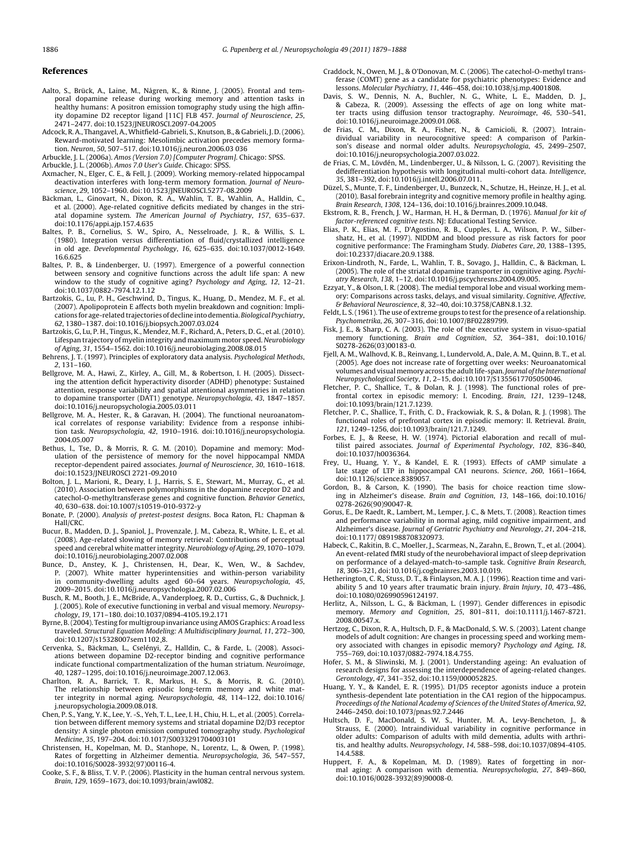#### <span id="page-7-34"></span><span id="page-7-31"></span><span id="page-7-28"></span><span id="page-7-5"></span><span id="page-7-4"></span>References

- <span id="page-7-24"></span><span id="page-7-15"></span>Aalto, S., Brück, A., Laine, M., Någren, K., & Rinne, J. (2005). Frontal and temporal dopamine release during working memory and attention tasks in healthy humans: A positron emission tomography study using the high affinity dopamine D2 receptor ligand [11C] FLB 457. Journal of Neuroscience, 25, 2471–2477. doi:10.1523/JNEUROSCI.2097-04.2005
- <span id="page-7-35"></span><span id="page-7-11"></span>Adcock, R. A., Thangavel, A., Whitfield-Gabrieli, S., Knutson, B., & Gabrieli, J. D. (2006). Reward-motivated learning: Mesolimbic activation precedes memory formation. Neuron, 50, 507–517. doi:10.1016/j.neuron.2006.03 036
- <span id="page-7-25"></span><span id="page-7-17"></span>Arbuckle, J. L. (2006a). Amos (Version 7.0) [Computer Program]. Chicago: SPSS.
- Arbuckle, J. L. (2006b). Amos 7.0 User's Guide. Chicago: SPSS.
- <span id="page-7-21"></span><span id="page-7-13"></span>Axmacher, N., Elger, C. E., & Fell, J. (2009). Working memory-related hippocampal deactivation interferes with long-term memory formation. Journal of Neuroscience, 29, 1052–1960. doi:10.1523/JNEUROSCI.5277-08.2009
- <span id="page-7-14"></span>Bäckman, L., Ginovart, N., Dixon, R. A., Wahlin, T. B., Wahlin, A., Halldin, C., et al. (2000). Age-related cognitive deficits mediated by changes in the striatal dopamine system. The American Journal of Psychiatry, 157, 635–637. doi:10.1176/appi.ajp.157.4.635
- <span id="page-7-30"></span>Baltes, P. B., Cornelius, S. W., Spiro, A., Nesselroade, J. R., & Willis, S. L. (1980). Integration versus differentiation of fluid/crystallized intelligence in old age. Developmental Psychology, 16, 625–635. doi:10.1037/0012-1649. 16.6.625
- <span id="page-7-19"></span>Baltes, P. B., & Lindenberger, U. (1997). Emergence of a powerful connection between sensory and cognitive functions across the adult life span: A new window to the study of cognitive aging? Psychology and Aging, 12, 12–21. doi:10.1037/0882-7974.12.1.12
- <span id="page-7-18"></span><span id="page-7-7"></span>Bartzokis, G., Lu, P. H., Geschwind, D., Tingus, K., Huang, D., Mendez, M. F., et al. (2007). Apolipoprotein E affects both myelin breakdown and cognition: Implications for age-related trajectories of decline into dementia.Biological Psychiatry, 62, 1380–1387. doi:10.1016/j.biopsych.2007.03.024
- <span id="page-7-0"></span>Bartzokis, G, Lu, P. H., Tingus, K., Mendez, M. F., Richard, A., Peters, D. G., et al. (2010). Lifespan trajectory of myelin integrity and maximum motor speed. Neurobiology of Aging, 31, 1554–1562. doi:10.1016/j.neurobiolaging.2008.08.015
- <span id="page-7-38"></span>Behrens, J. T. (1997). Principles of exploratory data analysis. Psychological Methods, 2, 131–160.
- <span id="page-7-9"></span>Bellgrove, M. A., Hawi, Z., Kirley, A., Gill, M., & Robertson, I. H. (2005). Dissecting the attention deficit hyperactivity disorder (ADHD) phenotype: Sustained attention, response variability and spatial attentional asymmetries in relation to dopamine transporter (DAT1) genotype. Neuropsychologia, 43, 1847–1857. doi:10.1016/j.neuropsychologia.2005.03.011
- <span id="page-7-26"></span><span id="page-7-12"></span>Bellgrove, M. A., Hester, R., & Garavan, H. (2004). The functional neuroanatomical correlates of response variability: Evidence from a response inhibition task. Neuropsychologia, 42, 1910–1916. doi:10.1016/j.neuropsychologia. 2004.05.007
- <span id="page-7-20"></span><span id="page-7-3"></span><span id="page-7-2"></span>Bethus, I., Tse, D., & Morris, R. G. M. (2010). Dopamine and memory: Modulation of the persistence of memory for the novel hippocampal NMDA receptor-dependent paired associates. Journal of Neuroscience, 30, 1610–1618. doi:10.1523/JNEUROSCI 2721-09.2010
- <span id="page-7-39"></span><span id="page-7-29"></span>Bolton, J. L., Marioni, R., Deary, I. J., Harris, S. E., Stewart, M., Murray, G., et al. (2010). Association between polymorphisms in the dopamine receptor D2 and catechol-O-methyltransferase genes and cognitive function. Behavior Genetics, 40, 630–638. doi:10.1007/s10519-010-9372-y
- <span id="page-7-37"></span>Bonate, P. (2000). Analysis of pretest-postest designs. Boca Raton, FL: Chapman & Hall/CRC.
- <span id="page-7-36"></span><span id="page-7-1"></span>Bucur, B., Madden, D. J., Spaniol, J., Provenzale, J. M., Cabeza, R., White, L. E., et al. (2008). Age-related slowing of memory retrieval: Contributions of perceptual speed and cerebral white matter integrity. Neurobiology of Aging, 29, 1070–1079. doi:10.1016/j.neurobiolaging.2007.02.008
- <span id="page-7-23"></span><span id="page-7-22"></span>Bunce, D., Anstey, K. J., Christensen, H., Dear, K., Wen, W., & Sachdev, P. (2007). White matter hyperintensities and within-person variability in community-dwelling adults aged 60–64 years. Neuropsychologia, 45, 2009–2015. doi:10.1016/j.neuropsychologia.2007.02.006
- <span id="page-7-33"></span><span id="page-7-10"></span>Busch, R. M., Booth, J. E., McBride, A., Vanderploeg, R. D., Curtiss, G., & Duchnick, J. J. (2005). Role of executive functioning in verbal and visual memory. Neuropsychology, 19, 171–180. doi:10.1037/0894-4105.19.2.171
- <span id="page-7-32"></span>Byrne, B. (2004). Testing for multigroup invariance using AMOS Graphics: A road less traveled. Structural Equation Modeling: A Multidisciplinary Journal, 11, 272–300, doi:10.1207/s15328007sem1102 8.
- <span id="page-7-16"></span>Cervenka, S., Bäckman, L., Cselényi, Z., Halldin, C., & Farde, L. (2008). Associations between dopamine D2-receptor binding and cognitive performance indicate functional compartmentalization of the human striatum. Neuroimage, 40, 1287–1295, doi:10.1016/j.neuroimage.2007.12.063.
- <span id="page-7-6"></span>Charlton, R. A., Barrick, T. R., Markus, H. S., & Morris, R. G. (2010). The relationship between episodic long-term memory and white matter integrity in normal aging. Neuropsychologia, 48, 114–122, doi:10.1016/ j.neuropsychologia.2009.08.018.
- <span id="page-7-27"></span><span id="page-7-8"></span>Chen, P. S., Yang, Y. K., Lee, Y. -S., Yeh, T. L., Lee, I. H., Chiu, H. L., et al. (2005). Correlation between different memory systems and striatal dopamine D2/D3 receptor density: A single photon emission computed tomography study. Psychological Medicine, 35, 197–204. doi:10.1017/S0033291704003101
- Christensen, H., Kopelman, M. D., Stanhope, N., Lorentz, L., & Owen, P. (1998). Rates of forgetting in Alzheimer dementia. Neuropsychologia, 36, 547–557, doi:10.1016/S0028-3932(97)00116-4.
- Cooke, S. F., & Bliss, T. V. P. (2006). Plasticity in the human central nervous system. Brain, 129, 1659–1673, doi:10.1093/brain/awl082.
- Craddock, N., Owen, M. J., & O'Donovan, M. C. (2006). The catechol-O-methyl transferase (COMT) gene as a candidate for psychiatric phenotypes: Evidence and lessons. Molecular Psychiatry, 11, 446–458, doi:10.1038/sj.mp.4001808.
- Davis, S. W., Dennis, N. A., Buchler, N. G., White, L. E., Madden, D. J., & Cabeza, R. (2009). Assessing the effects of age on long white matter tracts using diffusion tensor tractography. Neuroimage, 46, 530–541, doi:10.1016/j.neuroimage.2009.01.068.
- de Frias, C. M., Dixon, R. A., Fisher, N., & Camicioli, R. (2007). Intraindividual variability in neurocognitive speed: A comparison of Parkinson's disease and normal older adults. Neuropsychologia, 45, 2499–2507, doi:10.1016/j.neuropsychologia.2007.03.022.
- de Frias, C. M., Lövdén, M., Lindenberger, U., & Nilsson, L. G. (2007). Revisiting the dedifferentiation hypothesis with longitudinal multi-cohort data. Intelligence, 35, 381–392, doi:10.1016/j.intell.2006.07.011.
- Düzel, S., Munte, T. F., Lindenberger, U., Bunzeck, N., Schutze, H., Heinze, H. J., et al. (2010). Basal forebrain integrity and cognitive memory profile in healthy aging. Brain Research, 1308, 124–136, doi:10.1016/j.brainres.2009.10.048.
- Ekstrom, R. B., French, J. W., Harman, H. H., & Derman, D. (1976). Manual for kit of factor-referenced cognitive tests. NJ: Educational Testing Service.
- Elias, P. K., Elias, M. F., D'Agostino, R. B., Cupples, L. A., Wilson, P. W., Silbershatz, H., et al. (1997). NIDDM and blood pressure as risk factors for poor cognitive performance: The Framingham Study. Diabetes Care, 20, 1388–1395, doi:10.2337/diacare.20.9.1388.
- Erixon-Lindroth, N., Farde, L., Wahlin, T. B., Sovago, J., Halldin, C., & Bäckman, L. (2005). The role of the striatal dopamine transporter in cognitive aging. Psychiatry Research, 138, 1–12, doi:10.1016/j.pscychresns.2004.09.005.
- Ezzyat, Y., & Olson, I. R. (2008). The medial temporal lobe and visual working memory: Comparisons across tasks, delays, and visual similarity. Cognitive, Affective, & Behavioral Neuroscience, 8, 32–40, doi:10.3758/CABN.8.1.32.
- Feldt, L. S. (1961). The use of extreme groups to test for the presence of a relationship. Psychometrika, 26, 307–316, doi:10.1007/BF02289799.
- Fisk, J. E., & Sharp, C. A. (2003). The role of the executive system in visuo-spatial memory functioning. Brain and Cognition, 52, 364–381, doi:10.1016/ S0278-2626(03)00183-0.
- Fjell, A. M., Walhovd, K. B., Reinvang, I., Lundervold, A., Dale, A. M., Quinn, B. T., et al. (2005). Age does not increase rate of forgetting over weeks: Neuroanatomical volumes and visual memory across the adult life-span. Journal of the International Neuropsychological Society, 11, 2–15, doi:10.1017/S1355617705050046.
- Fletcher, P. C., Shallice, T., & Dolan, R. J. (1998). The functional roles of prefrontal cortex in episodic memory: I. Encoding. Brain, 121, 1239–1248, doi:10.1093/brain/121.7.1239.
- Fletcher, P. C., Shallice, T., Frith, C. D., Frackowiak, R. S., & Dolan, R. J. (1998). The functional roles of prefrontal cortex in episodic memory: II. Retrieval. Brain, 121, 1249–1256, doi:10.1093/brain/121.7.1249.
- Forbes, E. J., & Reese, H. W. (1974). Pictorial elaboration and recall of multilist paired associates. Journal of Experimental Psychology, 102, 836–840, doi:10.1037/h0036364.
- Frey, U., Huang, Y. Y., & Kandel, E. R. (1993). Effects of cAMP simulate a late stage of LTP in hippocampal CA1 neurons. Science, 260, 1661–1664, doi:10.1126/science.8389057.
- Gordon, B., & Carson, K. (1990). The basis for choice reaction time slowing in Alzheimer's disease. Brain and Cognition, 13, 148–166, doi:10.1016/ 0278-2626(90)90047-R.
- Gorus, E., De Raedt, R., Lambert, M., Lemper, J. C., & Mets, T. (2008). Reaction times and performance variability in normal aging, mild cognitive impairment, and Alzheimer's disease. Journal of Geriatric Psychiatry and Neurology, 21, 204–218, doi:10.1177/ 0891988708320973.
- Habeck, C., Rakitin, B. C., Moeller, J., Scarmeas, N., Zarahn, E., Brown, T., et al. (2004). An event-related fMRI study of the neurobehavioral impact of sleep deprivation on performance of a delayed-match-to-sample task. Cognitive Brain Research, 18, 306–321, doi:10.1016/j.cogbrainres.2003.10.019.
- Hetherington, C. R., Stuss, D. T., & Finlayson, M. A. J. (1996). Reaction time and variability 5 and 10 years after traumatic brain injury. Brain Injury, 10, 473–486, doi:10.1080/026990596124197.
- Herlitz, A., Nilsson, L. G., & Bäckman, L. (1997). Gender differences in episodic memory. Memory and Cognition, 25, 801–811, doi:10.1111/j.1467-8721. 2008.00547.x.
- Hertzog, C., Dixon, R. A., Hultsch, D. F., & MacDonald, S. W. S. (2003). Latent change models of adult cognition: Are changes in processing speed and working memory associated with changes in episodic memory? Psychology and Aging, 18, 755–769, doi:10.1037/0882-7974.18.4.755.
- Hofer, S. M., & Sliwinski, M. J. (2001). Understanding ageing: An evaluation of research designs for assessing the interdependence of ageing-related changes. Gerontology, 47, 341–352, doi:10.1159/000052825.
- Huang, Y. Y., & Kandel, E. R. (1995). D1/D5 receptor agonists induce a protein synthesis-dependent late potentiation in the CA1 region of the hippocampus. Proceedings of the National Academy of Sciences of the United States of America, 92, 2446–2450. doi:10.1073/pnas.92.7.2446
- Hultsch, D. F., MacDonald, S. W. S., Hunter, M. A., Levy-Bencheton, J., & Strauss, E. (2000). Intraindividual variability in cognitive performance in older adults: Comparison of adults with mild dementia, adults with arthritis, and healthy adults. Neuropsychology, 14, 588–598, doi:10.1037/0894-4105. 14.4.588.
- Huppert, F. A., & Kopelman, M. D. (1989). Rates of forgetting in normal aging: A comparison with dementia. Neuropsychologia, 27, 849–860, doi:10.1016/0028-3932(89)90008-0.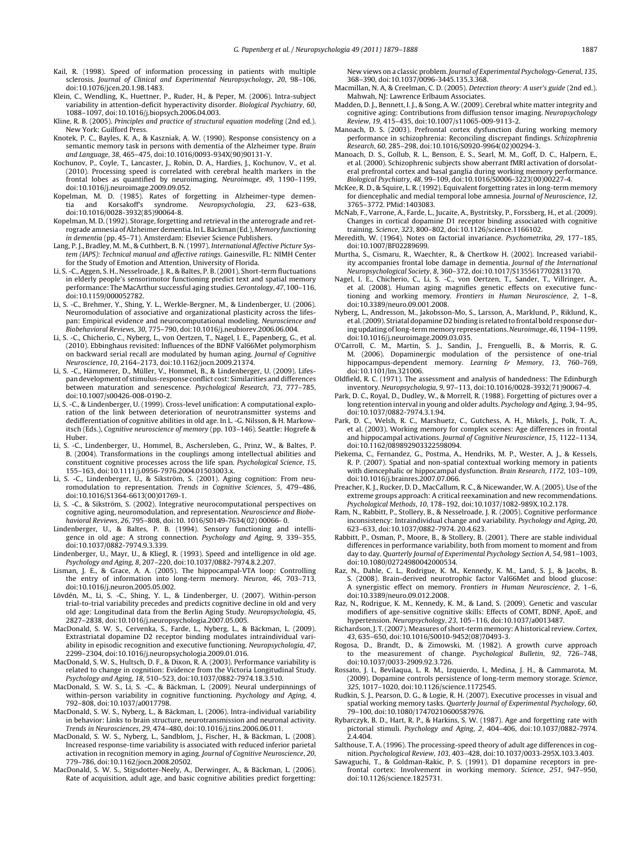- <span id="page-8-23"></span><span id="page-8-19"></span><span id="page-8-15"></span><span id="page-8-1"></span>Kail, R. (1998). Speed of information processing in patients with multiple sclerosis. Journal of Clinical and Experimental Neuropsychology, 20, 98–106, doi:10.1076/jcen.20.1.98.1483.
- Klein, C., Wendling, K., Huettner, P., Ruder, H., & Peper, M. (2006). Intra-subject variability in attention-deficit hyperactivity disorder. Biological Psychiatry, 60, 1088–1097, doi:10.1016/j.biopsych.2006.04.003.
- Kline, R. B. (2005). Principles and practice of structural equation modeling (2nd ed.). New York: Guilford Press.
- <span id="page-8-8"></span>Knotek, P. C., Bayles, K. A., & Kaszniak, A. W. (1990). Response consistency on a semantic memory task in persons with dementia of the Alzheimer type. Brain and Language, 38, 465–475, doi:10.1016/0093-934X(90)90131-Y.
- Kochunov, P., Coyle, T., Lancaster, J., Robin, D. A., Hardies, J., Kochunov, V., et al. (2010). Processing speed is correlated with cerebral health markers in the frontal lobes as quantified by neuroimaging. Neuroimage, 49, 1190–1199, doi:10.1016/j.neuroimage.2009.09.052.
- <span id="page-8-25"></span><span id="page-8-20"></span><span id="page-8-14"></span>Kopelman, M. D. (1985). Rates of forgetting in Alzheimer-type demen-<br>tia and Korsakoff's syndrome. Neuropsychologia, 23, 623-638 and Korsakoff's syndrome. Neuropsychologia, 23, 623–638, doi:10.1016/0028-3932(85)90064-8.
- <span id="page-8-16"></span>Kopelman, M. D. (1992). Storage, forgetting and retrieval in the anterograde and retrograde amnesia of Alzheimer dementia. In L. Bäckman (Ed.), Memory functioning in dementia (pp. 45–71). Amsterdam: Elsevier Science Publishers.
- Lang, P. J., Bradley, M. M., & Cuthbert, B. N. (1997). International Affective Picture System (IAPS): Technical manual and affective ratings. Gainesville, FL: NIMH Center for the Study of Emotion and Attention, University of Florida.
- <span id="page-8-17"></span>Li, S. -C., Aggen, S. H., Nesselroade, J. R., & Baltes, P. B. (2001). Short-term fluctuations in elderly people's sensorimotor functioning predict text and spatial memory performance: The MacArthur successful aging studies. Gerontology, 47, 100-116, doi:10.1159/000052782.
- <span id="page-8-12"></span>Li, S. -C., Brehmer, Y., Shing, Y. L., Werkle-Bergner, M., & Lindenberger, U. (2006). Neuromodulation of associative and organizational plasticity across the lifespan: Empirical evidence and neurocomputational modeling. Neuroscience and Biobehavioral Reviews, 30, 775–790, doi:10.1016/j.neubiorev.2006.06.004.
- <span id="page-8-11"></span><span id="page-8-5"></span>Li, S. -C., Chicherio, C., Nyberg, L., von Oertzen, T., Nagel, I. E., Papenberg, G., et al. (2010). Ebbinghaus revisited: Influences of the BDNF Val66Met polymorphism on backward serial recall are modulated by human aging. Journal of Cognitive Neuroscience, 10, 2164–2173, doi:10.1162/jocn.2009.21374.
- Li, S. -C., Hämmerer, D., Müller, V., Hommel, B., & Lindenberger, U. (2009). Lifespan development of stimulus-response conflict cost: Similarities and differences between maturation and senescence. Psychological Research, 73, 777–785, doi:10.1007/s00426-008-0190-2.
- <span id="page-8-4"></span><span id="page-8-2"></span>Li, S. -C., & Lindenberger, U. (1999). Cross-level unification: A computational exploration of the link between deterioration of neurotransmitter systems and dedifferentiation of cognitive abilities in old age. In L. -G. Nilsson, & H. Markowitsch (Eds.), Cognitive neuroscience of memory (pp. 103–146). Seattle: Hogrefe & Huber.
- <span id="page-8-24"></span><span id="page-8-10"></span>Li, S. -C., Lindenberger, U., Hommel, B., Aschersleben, G., Prinz, W., & Baltes, P. B. (2004). Transformations in the couplings among intellectual abilities and constituent cognitive processes across the life span. Psychological Science, 15, 155–163, doi:10.1111/j.0956-7976.2004.01503003.x.
- Li, S. -C., Lindenberger, U., & Sikström, S. (2001). Aging cognition: From neuromodulation to representation. Trends in Cognitive Sciences, 5, 479–486, doi:10.1016/S1364-6613(00)01769-1.
- <span id="page-8-13"></span><span id="page-8-9"></span>Li, S. -C., & Sikström, S. (2002). Integrative neurocomputational perspectives on cognitive aging, neuromodulation, and representation. Neuroscience and Biobehavioral Reviews, 26, 795–808, doi:10. 1016/S0149-7634(02) 00066- 0.
- <span id="page-8-3"></span>Lindenberger, U., & Baltes, P. B. (1994). Sensory functioning and intelligence in old age: A strong connection. Psychology and Aging, 9, 339–355, doi:10.1037/0882-7974.9.3.339.
- Lindenberger, U., Mayr, U., & Kliegl, R. (1993). Speed and intelligence in old age. Psychology and Aging, 8, 207–220, doi:10.1037/0882-7974.8.2.207.
- <span id="page-8-6"></span>Lisman, J. E., & Grace, A. A. (2005). The hippocampal-VTA loop: Controlling the entry of information into long-term memory. Neuron, 46, 703–713, doi:10.1016/j.neuron.2005.05.002.
- <span id="page-8-18"></span>Lövdén, M., Li, S. -C., Shing, Y. L., & Lindenberger, U. (2007). Within-person trial-to-trial variability precedes and predicts cognitive decline in old and very old age: Longitudinal data from the Berlin Aging Study. Neuropsychologia, 45, 2827–2838, doi:10.1016/j.neuropsychologia.2007.05.005.
- <span id="page-8-22"></span><span id="page-8-0"></span>MacDonald, S. W. S., Cervenka, S., Farde, L., Nyberg, L., & Bäckman, L. (2009). Extrastriatal dopamine D2 receptor binding modulates intraindividual variability in episodic recognition and executive functioning. Neuropsychologia, 47, 2299–2304, doi:10.1016/j.neuropsychologia.2009.01.016.
- MacDonald, S. W. S., Hultsch, D. F., & Dixon, R. A. (2003). Performance variability is related to change in cognition: Evidence from the Victoria Longitudinal Study. Psychology and Aging, 18, 510–523, doi:10.1037/0882-7974.18.3.510.
- <span id="page-8-26"></span><span id="page-8-21"></span>MacDonald, S. W. S., Li, S. -C., & Bäckman, L. (2009). Neural underpinnings of within-person variability in cognitive functioning. Psychology and Aging, 4, 792–808, doi:10.1037/a0017798.
- <span id="page-8-7"></span>MacDonald, S. W. S., Nyberg, L., & Bäckman, L. (2006). Intra-individual variability in behavior: Links to brain structure, neurotransmission and neuronal activity. Trends in Neurosciences, 29, 474–480, doi:10.1016/j.tins.2006.06.011.
- MacDonald, S. W. S., Nyberg, L., Sandblom, J., Fischer, H., & Bäckman, L. (2008). Increased response-time variability is associated with reduced inferior parietal activation in recognition memory in aging. Journal of Cognitive Neuroscience, 20, 779–786, doi:10.1162/jocn.2008.20502.
- MacDonald, S. W. S., Stigsdotter-Neely, A., Derwinger, A., & Bäckman, L. (2006). Rate of acquisition, adult age, and basic cognitive abilities predict forgetting:

New views on a classic problem. Journal of Experimental Psychology-General, 135, 368–390, doi:10.1037/0096-3445.135.3.368.

- Macmillan, N. A, & Creelman, C. D. (2005). Detection theory: A user's guide (2nd ed.). Mahwah, NJ: Lawrence Erlbaum Associates.
- Madden, D. J., Bennett, I. J., & Song, A. W. (2009). Cerebral white matter integrity and cognitive aging: Contributions from diffusion tensor imaging. Neuropsychology Review, 19, 415–435, doi:10.1007/s11065-009-9113-2.
- Manoach, D. S. (2003). Prefrontal cortex dysfunction during working memory performance in schizophrenia: Reconciling discrepant findings. Schizophrenia Research, 60, 285–298, doi:10.1016/S0920-9964(02)00294-3.
- Manoach, D. S., Gollub, R. L., Benson, E. S., Searl, M. M., Goff, D. C., Halpern, E., et al. (2000). Schizophrenic subjects show aberrant fMRI activation of dorsolateral prefrontal cortex and basal ganglia during working memory performance. Biological Psychiatry, 48, 99–109, doi:10.1016/S0006-3223(00)00227-4.
- McKee, R. D., & Squire, L. R. (1992). Equivalent forgetting rates in long-term memory for diencephalic and medial temporal lobe amnesia. Journal of Neuroscience, 12, 3765–3772. PMid:1403083.
- McNab, F., Varrone, A., Farde, L., Jucaite, A., Bystritsky, P., Forssberg, H., et al. (2009). Changes in cortical dopamine D1 receptor binding associated with cognitive training. Science, 323, 800–802, doi:10.1126/science.1166102.
- Meredith, W. (1964). Notes on factorial invariance. Psychometrika, 29, 177–185, doi:10.1007/BF02289699.
- Murtha, S., Cismaru, R., Waechter, R., & Chertkow H. (2002). Increased variability accompanies frontal lobe damage in dementia. Journal of the International Neuropsychological Society, 8, 360–372, doi:10.1017/S1355617702813170.
- Nagel, I. E., Chicherio, C., Li, S. -C., von Oertzen, T., Sander, T., Villringer, A., et al. (2008). Human aging magnifies genetic effects on executive functioning and working memory. Frontiers in Human Neuroscience, 2, 1–8, doi:10.3389/neuro.09.001.2008.
- Nyberg, L., Andresson, M., Jakobsson-Mo, S., Larsson, A., Marklund, P., Riklund, K., et al. (2009). Striatal dopamine D2 binding is related to frontal bold response during updating of long-term memory representations. Neuroimage, 46, 1194–1199, doi:10.1016/j.neuroimage.2009.03.035.
- O'Carroll, C. M., Martin, S. J., Sandin, J., Frenguelli, B., & Morris, R. G. M. (2006). Dopaminergic modulation of the persistence of one-trial hippocampus-dependent memory. Learning & Memory, 13, 760–769, doi:10.1101/lm.321006.
- Oldfield, R. C. (1971). The assessment and analysis of handedness: The Edinburgh inventory. Neuropsychologia, 9, 97–113, doi:10.1016/0028-3932(71)90067-4.
- Park, D. C., Royal, D., Dudley, W., & Morrell, R. (1988). Forgetting of pictures over a long retention interval in young and older adults. Psychology and Aging, 3, 94–95, doi:10.1037/0882-7974.3.1.94.
- Park, D. C., Welsh, R. C., Marshuetz, C., Gutchess, A. H., Mikels, J., Polk, T. A., et al. (2003). Working memory for complex scenes: Age differences in frontal and hippocampal activations. Journal of Cognitive Neuroscience, 15, 1122–1134, doi:10.1162/089892903322598094.
- Piekema, C., Fernandez, G., Postma, A., Hendriks, M. P., Wester, A. J., & Kessels, R. P. (2007). Spatial and non-spatial contextual working memory in patients with diencephalic or hippocampal dysfunction. Brain Research, 1172, 103–109, doi:10.1016/j.brainres.2007.07.066.
- Preacher, K. J., Rucker, D. D., MacCallum, R. C., & Nicewander, W. A. (2005). Use of the extreme groups approach: A critical reexamination and new recommendations. Psychological Methods, 10, 178–192, doi:10.1037/1082-989X.10.2.178.
- Ram, N., Rabbitt, P., Stollery, B., & Nesselroade, J. R. (2005). Cognitive performance inconsistency: Intraindividual change and variability. Psychology and Aging, 20, 623–633, doi:10.1037/0882-7974. 20.4.623.
- Rabbitt, P., Osman, P., Moore, B., & Stollery, B. (2001). There are stable individual differences in performance variability, both from moment to moment and from day to day. Quarterly Journal of Experimental Psychology Section A, 54, 981–1003, doi:10.1080/02724980042000534.
- Raz, N., Dahle, C. L., Rodrigue, K. M., Kennedy, K. M., Land, S. J., & Jacobs, B. S. (2008). Brain-derived neurotrophic factor Val66Met and blood glucose: A synergistic effect on memory. Frontiers in Human Neuroscience, 2, 1–6, doi:10.3389/neuro.09.012.2008.
- Raz, N., Rodrigue, K. M., Kennedy, K. M., & Land, S. (2009). Genetic and vascular modifiers of age-sensitive cognitive skills: Effects of COMT, BDNF, ApoE, and hypertension. Neuropsychology, 23, 105–116, doi:10.1037/a0013487.
- Richardson, J. T. (2007). Measures of short-term memory: A historical review. Cortex, 43, 635–650, doi:10.1016/S0010-9452(08)70493-3.
- Rogosa, D., Brandt, D., & Zimowski, M. (1982). A growth curve approach to the measurement of change. Psychological Bulletin, 92, 726–748, doi:10.1037/0033-2909.92.3.726.
- Rossato, J. I., Bevilaqua, L. R. M., Izquierdo, I., Medina, J. H., & Cammarota, M. (2009). Dopamine controls persistence of long-term memory storage. Science, 325, 1017–1020, doi:10.1126/science.1172545.
- Rudkin, S. J., Pearson, D. G., & Logie, R. H. (2007). Executive processes in visual and spatial working memory tasks. Quarterly Journal of Experimental Psychology, 60, 79–100, doi:10.1080/17470210600587976.
- Rybarczyk, B. D., Hart, R. P., & Harkins, S. W. (1987). Age and forgetting rate with pictorial stimuli. Psychology and Aging, 2, 404–406, doi:10.1037/0882-7974. 2.4.404.
- Salthouse, T. A. (1996). The processing-speed theory of adult age differences in cognition. Psychological Review, 103, 403–428, doi:10.1037/0033-295X.103.3.403.
- Sawaguchi, T., & Goldman-Rakic, P. S. (1991). D1 dopamine receptors in prefrontal cortex: Involvement in working memory. Science, 251, 947–950, doi:10.1126/science.1825731.